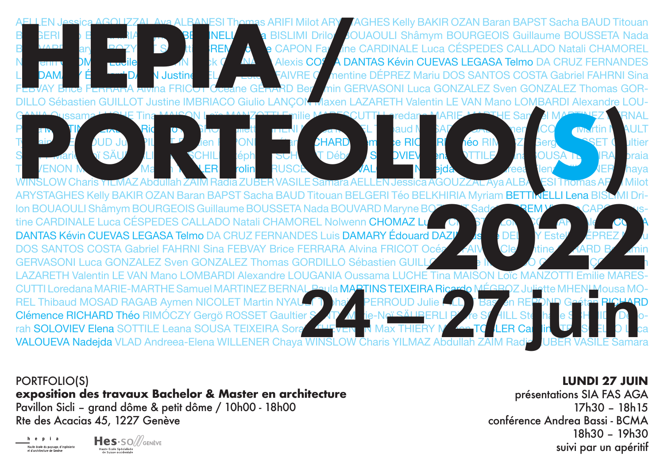

**PORTFOLIO(S)** exposition des travaux Bachelor & Master en architecture Pavillon Sicli - grand dôme & petit dôme / 10h00 - 18h00 Rte des Acacias 45, 1227 Genève

i a Haute école du paysage d'ingénierie



## **LUNDI 27 JUIN**

présentations SIA FAS AGA 17h30 - 18h15 conférence Andrea Bassi - BCMA 18h30 - 19h30 suivi par un apéritif